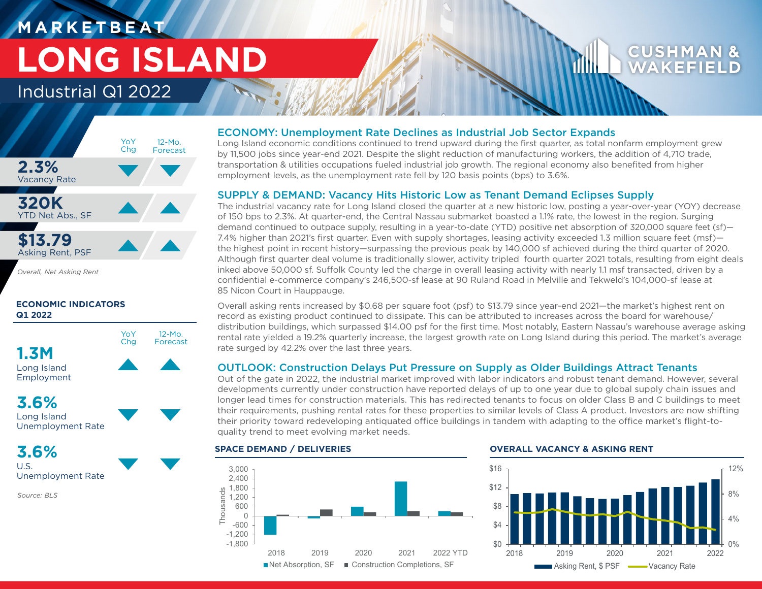# **M A R K E T B E AT LONG ISLAND**

## Industrial Q1 2022



*Overall, Net Asking Rent*

### **ECONOMIC INDICATORS Q1 2022**





**3.6%**

U.S. Unemployment Rate

*Source: BLS*

### ECONOMY: Unemployment Rate Declines as Industrial Job Sector Expands

Long Island economic conditions continued to trend upward during the first quarter, as total nonfarm employment grew by 11,500 jobs since year-end 2021. Despite the slight reduction of manufacturing workers, the addition of 4,710 trade, transportation & utilities occupations fueled industrial job growth. The regional economy also benefited from higher employment levels, as the unemployment rate fell by 120 basis points (bps) to 3.6%.

### SUPPLY & DEMAND: Vacancy Hits Historic Low as Tenant Demand Eclipses Supply

The industrial vacancy rate for Long Island closed the quarter at a new historic low, posting a year-over-year (YOY) decrease of 150 bps to 2.3%. At quarter-end, the Central Nassau submarket boasted a 1.1% rate, the lowest in the region. Surging demand continued to outpace supply, resulting in a year-to-date (YTD) positive net absorption of 320,000 square feet (sf)— 7.4% higher than 2021's first quarter. Even with supply shortages, leasing activity exceeded 1.3 million square feet (msf) the highest point in recent history—surpassing the previous peak by 140,000 sf achieved during the third quarter of 2020. Although first quarter deal volume is traditionally slower, activity tripled fourth quarter 2021 totals, resulting from eight deals inked above 50,000 sf. Suffolk County led the charge in overall leasing activity with nearly 1.1 msf transacted, driven by a confidential e-commerce company's 246,500-sf lease at 90 Ruland Road in Melville and Tekweld's 104,000-sf lease at 85 Nicon Court in Hauppauge.

Overall asking rents increased by \$0.68 per square foot (psf) to \$13.79 since year-end 2021—the market's highest rent on record as existing product continued to dissipate. This can be attributed to increases across the board for warehouse/ distribution buildings, which surpassed \$14.00 psf for the first time. Most notably, Eastern Nassau's warehouse average asking rental rate yielded a 19.2% quarterly increase, the largest growth rate on Long Island during this period. The market's average rate surged by 42.2% over the last three years.

### OUTLOOK: Construction Delays Put Pressure on Supply as Older Buildings Attract Tenants

Out of the gate in 2022, the industrial market improved with labor indicators and robust tenant demand. However, several developments currently under construction have reported delays of up to one year due to global supply chain issues and longer lead times for construction materials. This has redirected tenants to focus on older Class B and C buildings to meet their requirements, pushing rental rates for these properties to similar levels of Class A product. Investors are now shifting their priority toward redeveloping antiquated office buildings in tandem with adapting to the office market's flight-toquality trend to meet evolving market needs.



### **SPACE DEMAND / DELIVERIES OVERALL VACANCY & ASKING RENT**



**CUSHM** WAKFF